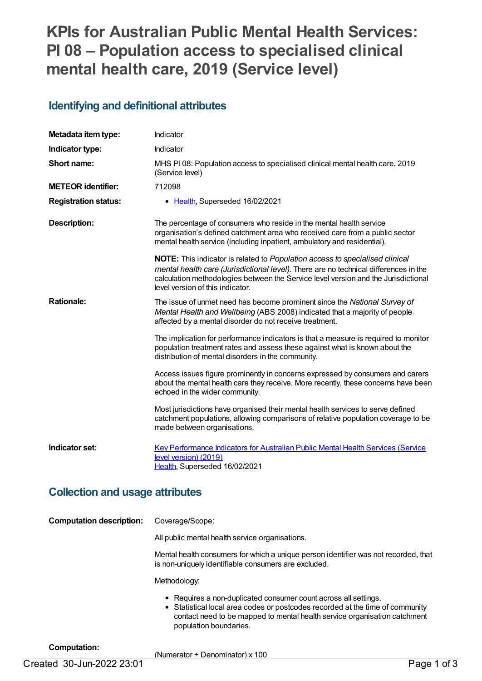# **KPIs for Australian Public Mental Health Services: PI 08 – Population access to specialised clinical mental health care, 2019 (Service level)**

## **Identifying and definitional attributes**

| Metadata item type:                                      | Indicator                                                                                                                                                                                                                                                                                      |
|----------------------------------------------------------|------------------------------------------------------------------------------------------------------------------------------------------------------------------------------------------------------------------------------------------------------------------------------------------------|
| Indicator type:                                          | Indicator                                                                                                                                                                                                                                                                                      |
| Short name:                                              | MHS PI08: Population access to specialised clinical mental health care, 2019<br>(Service level)                                                                                                                                                                                                |
| <b>METEOR identifier:</b>                                | 712098                                                                                                                                                                                                                                                                                         |
| <b>Registration status:</b>                              | • Health, Superseded 16/02/2021                                                                                                                                                                                                                                                                |
| <b>Description:</b>                                      | The percentage of consumers who reside in the mental health service<br>organisation's defined catchment area who received care from a public sector<br>mental health service (including inpatient, ambulatory and residential).                                                                |
|                                                          | NOTE: This indicator is related to Population access to specialised clinical<br>mental health care (Jurisdictional level). There are no technical differences in the<br>calculation methodologies between the Service level version and the Jurisdictional<br>level version of this indicator. |
| <b>Rationale:</b>                                        | The issue of unmet need has become prominent since the National Survey of<br>Mental Health and Wellbeing (ABS 2008) indicated that a majority of people<br>affected by a mental disorder do not receive treatment.                                                                             |
|                                                          | The implication for performance indicators is that a measure is required to monitor<br>population treatment rates and assess these against what is known about the<br>distribution of mental disorders in the community.                                                                       |
|                                                          | Access issues figure prominently in concerns expressed by consumers and carers<br>about the mental health care they receive. More recently, these concerns have been<br>echoed in the wider community.                                                                                         |
|                                                          | Most jurisdictions have organised their mental health services to serve defined<br>catchment populations, allowing comparisons of relative population coverage to be<br>made between organisations.                                                                                            |
| Indicator set:                                           | Key Performance Indicators for Australian Public Mental Health Services (Service<br>level version) (2019)<br>Health, Superseded 16/02/2021                                                                                                                                                     |
| وللمرج والسابات والمرود والمرود والمسترد واللاجر واللاجر |                                                                                                                                                                                                                                                                                                |

#### **Collection and usage attributes**

| <b>Computation description:</b> | Coverage/Scope:                                                                                                                                                                                                                                         |
|---------------------------------|---------------------------------------------------------------------------------------------------------------------------------------------------------------------------------------------------------------------------------------------------------|
|                                 | All public mental health service organisations.                                                                                                                                                                                                         |
|                                 | Mental health consumers for which a unique person identifier was not recorded, that<br>is non-uniquely identifiable consumers are excluded.                                                                                                             |
|                                 | Methodology:                                                                                                                                                                                                                                            |
|                                 | • Requires a non-duplicated consumer count across all settings.<br>• Statistical local area codes or postcodes recorded at the time of community<br>contact need to be mapped to mental health service organisation catchment<br>population boundaries. |

#### **Computation:**

(Numerator ÷ Denominator) x 100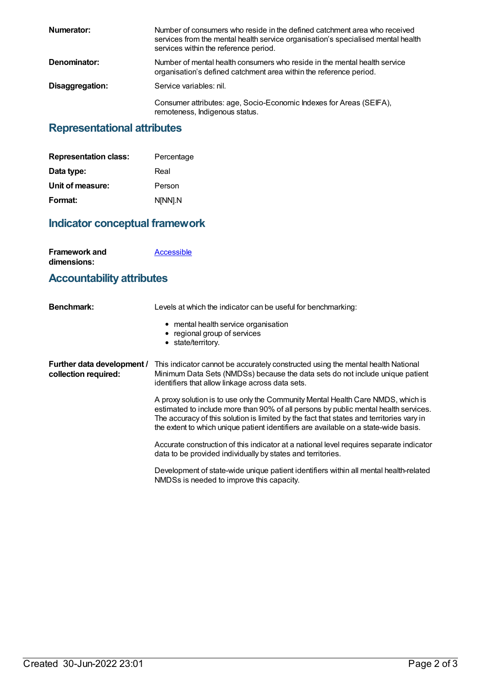| Numerator:      | Number of consumers who reside in the defined catchment area who received<br>services from the mental health service organisation's specialised mental health<br>services within the reference period. |
|-----------------|--------------------------------------------------------------------------------------------------------------------------------------------------------------------------------------------------------|
| Denominator:    | Number of mental health consumers who reside in the mental health service<br>organisation's defined catchment area within the reference period.                                                        |
| Disaggregation: | Service variables: nil.                                                                                                                                                                                |
|                 | Consumer attributes: age, Socio-Economic Indexes for Areas (SEIFA),<br>remoteness, Indigenous status.                                                                                                  |

## **Representational attributes**

| <b>Representation class:</b> | Percentage |
|------------------------------|------------|
| Data type:                   | Real       |
| Unit of measure:             | Person     |
| Format:                      | N[NN].N    |

## **Indicator conceptual framework**

| <b>Framework and</b> | Accessible |
|----------------------|------------|
| dimensions:          |            |

## **Accountability attributes**

| <b>Benchmark:</b>                                  | Levels at which the indicator can be useful for benchmarking:                                                                                                                                                                                                                                                                                             |
|----------------------------------------------------|-----------------------------------------------------------------------------------------------------------------------------------------------------------------------------------------------------------------------------------------------------------------------------------------------------------------------------------------------------------|
|                                                    | • mental health service organisation<br>• regional group of services<br>• state/territory.                                                                                                                                                                                                                                                                |
| Further data development /<br>collection required: | This indicator cannot be accurately constructed using the mental health National<br>Minimum Data Sets (NMDSs) because the data sets do not include unique patient<br>identifiers that allow linkage across data sets.                                                                                                                                     |
|                                                    | A proxy solution is to use only the Community Mental Health Care NMDS, which is<br>estimated to include more than 90% of all persons by public mental health services.<br>The accuracy of this solution is limited by the fact that states and territories vary in<br>the extent to which unique patient identifiers are available on a state-wide basis. |
|                                                    | Accurate construction of this indicator at a national level requires separate indicator<br>data to be provided individually by states and territories.                                                                                                                                                                                                    |
|                                                    | Development of state-wide unique patient identifiers within all mental health-related                                                                                                                                                                                                                                                                     |

NMDSs is needed to improve this capacity.